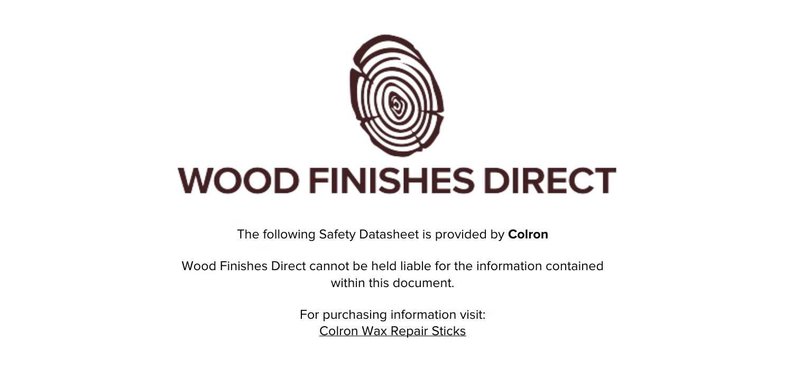

The following Safety Datasheet is provided by **Colron**

Wood Finishes Direct cannot be held liable for the information contained within this document.

> For purchasing information visit: [Colron Wax Repair Sticks](https://www.wood-finishes-direct.com/product/colron-wax-repair-sticks)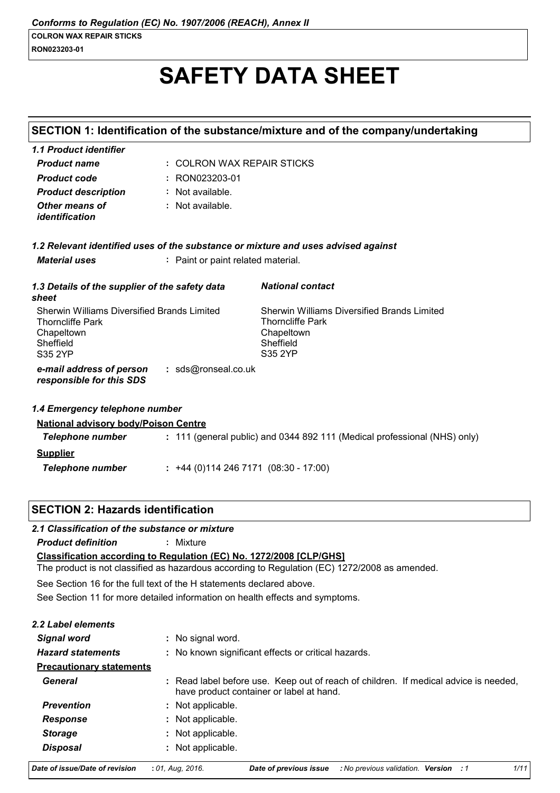### RON023203-01

# **SAFETY DATA SHEET**

|                                                                                                                     |                                     | SECTION 1: Identification of the substance/mixture and of the company/undertaking                                   |  |
|---------------------------------------------------------------------------------------------------------------------|-------------------------------------|---------------------------------------------------------------------------------------------------------------------|--|
| 1.1 Product identifier                                                                                              |                                     |                                                                                                                     |  |
| <b>Product name</b>                                                                                                 | : COLRON WAX REPAIR STICKS          |                                                                                                                     |  |
| <b>Product code</b>                                                                                                 | : RON023203-01                      |                                                                                                                     |  |
| <b>Product description</b>                                                                                          | : Not available.                    |                                                                                                                     |  |
| Other means of<br>identification                                                                                    | : Not available.                    |                                                                                                                     |  |
|                                                                                                                     |                                     | 1.2 Relevant identified uses of the substance or mixture and uses advised against                                   |  |
| <b>Material uses</b>                                                                                                | : Paint or paint related material.  |                                                                                                                     |  |
| 1.3 Details of the supplier of the safety data<br>sheet                                                             |                                     | <b>National contact</b>                                                                                             |  |
| <b>Sherwin Williams Diversified Brands Limited</b><br><b>Thorncliffe Park</b><br>Chapeltown<br>Sheffield<br>S35 2YP |                                     | <b>Sherwin Williams Diversified Brands Limited</b><br><b>Thorncliffe Park</b><br>Chapeltown<br>Sheffield<br>S35 2YP |  |
| e-mail address of person<br>responsible for this SDS                                                                | : sds@ronseal.co.uk                 |                                                                                                                     |  |
| 1.4 Emergency telephone number                                                                                      |                                     |                                                                                                                     |  |
| <b>National advisory body/Poison Centre</b>                                                                         |                                     |                                                                                                                     |  |
| Telephone number                                                                                                    |                                     | : 111 (general public) and 0344 892 111 (Medical professional (NHS) only)                                           |  |
| <b>Supplier</b>                                                                                                     |                                     |                                                                                                                     |  |
| <b>Telephone number</b>                                                                                             | $: +44(0)1142467171(08:30 - 17:00)$ |                                                                                                                     |  |

### **SECTION 2: Hazards identification**

### 2.1 Classification of the substance or mixture

**Product definition** : Mixture

Classification according to Regulation (EC) No. 1272/2008 [CLP/GHS]

The product is not classified as hazardous according to Regulation (EC) 1272/2008 as amended.

See Section 16 for the full text of the H statements declared above.

See Section 11 for more detailed information on health effects and symptoms.

### 2.2 Label elements

| <b>Signal word</b>              | : No signal word.                                                                                                                |
|---------------------------------|----------------------------------------------------------------------------------------------------------------------------------|
| <b>Hazard statements</b>        | : No known significant effects or critical hazards.                                                                              |
| <b>Precautionary statements</b> |                                                                                                                                  |
| General                         | : Read label before use. Keep out of reach of children. If medical advice is needed,<br>have product container or label at hand. |
| <b>Prevention</b>               | : Not applicable.                                                                                                                |
| Response                        | : Not applicable.                                                                                                                |
| <b>Storage</b>                  | : Not applicable.                                                                                                                |
| <b>Disposal</b>                 | : Not applicable.                                                                                                                |
| Date of issue/Date of revision  | 1/1<br>$: 01.$ Aug. 2016.<br>No previous validation. Version : 1<br>Date of previous issue                                       |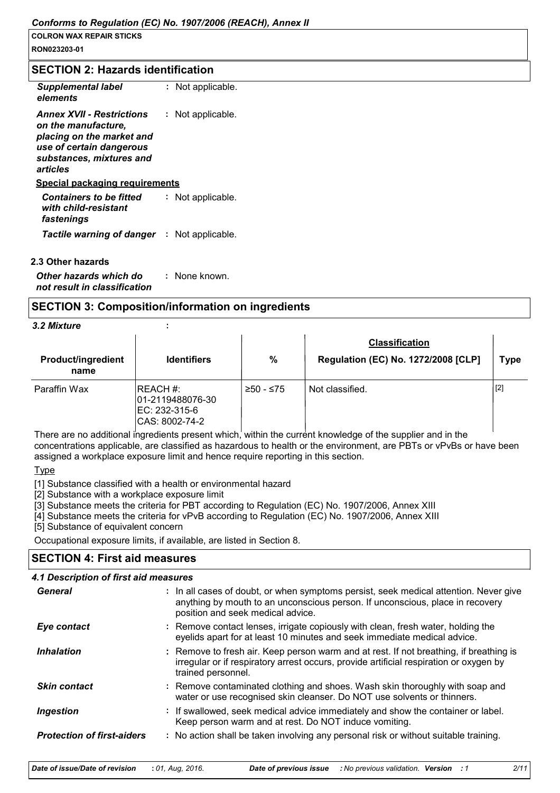### **SECTION 2: Hazards identification**

| <b>Supplemental label</b><br>elements                                                                                                                    | : Not applicable. |
|----------------------------------------------------------------------------------------------------------------------------------------------------------|-------------------|
| <b>Annex XVII - Restrictions</b><br>on the manufacture.<br>placing on the market and<br>use of certain dangerous<br>substances, mixtures and<br>articles | : Not applicable. |
| <u>Special packaging requirements</u>                                                                                                                    |                   |
| <b>Containers to be fitted</b><br>with child-resistant<br>fastenings                                                                                     | : Not applicable. |

Tactile warning of danger : Not applicable.

### 2.3 Other hazards

: None known. Other hazards which do not result in classification

### **SECTION 3: Composition/information on ingredients**

### 3.2 Mixture

| <b>Product/ingredient</b><br>name | <b>Identifiers</b>                                              | $\frac{0}{0}$ | <b>Classification</b><br>Regulation (EC) No. 1272/2008 [CLP] | <b>Type</b> |
|-----------------------------------|-----------------------------------------------------------------|---------------|--------------------------------------------------------------|-------------|
| Paraffin Wax                      | REACH #:<br>01-2119488076-30<br>EC: 232-315-6<br>CAS: 8002-74-2 | $≥50 - ≤75$   | Not classified.                                              | $[2]$       |

There are no additional ingredients present which, within the current knowledge of the supplier and in the concentrations applicable, are classified as hazardous to health or the environment, are PBTs or vPvBs or have been assigned a workplace exposure limit and hence require reporting in this section.

### **Type**

[1] Substance classified with a health or environmental hazard

[2] Substance with a workplace exposure limit

[3] Substance meets the criteria for PBT according to Regulation (EC) No. 1907/2006, Annex XIII

[4] Substance meets the criteria for vPvB according to Regulation (EC) No. 1907/2006, Annex XIII

[5] Substance of equivalent concern

Occupational exposure limits, if available, are listed in Section 8.

# **SECTION 4: First aid measures** 4.1 Description of first aid measures

| General                           | : In all cases of doubt, or when symptoms persist, seek medical attention. Never give<br>anything by mouth to an unconscious person. If unconscious, place in recovery<br>position and seek medical advice. |
|-----------------------------------|-------------------------------------------------------------------------------------------------------------------------------------------------------------------------------------------------------------|
| Eye contact                       | : Remove contact lenses, irrigate copiously with clean, fresh water, holding the<br>eyelids apart for at least 10 minutes and seek immediate medical advice.                                                |
| <i><b>Inhalation</b></i>          | : Remove to fresh air. Keep person warm and at rest. If not breathing, if breathing is<br>irregular or if respiratory arrest occurs, provide artificial respiration or oxygen by<br>trained personnel.      |
| <b>Skin contact</b>               | : Remove contaminated clothing and shoes. Wash skin thoroughly with soap and<br>water or use recognised skin cleanser. Do NOT use solvents or thinners.                                                     |
| Ingestion                         | : If swallowed, seek medical advice immediately and show the container or label.<br>Keep person warm and at rest. Do NOT induce vomiting.                                                                   |
| <b>Protection of first-aiders</b> | : No action shall be taken involving any personal risk or without suitable training.                                                                                                                        |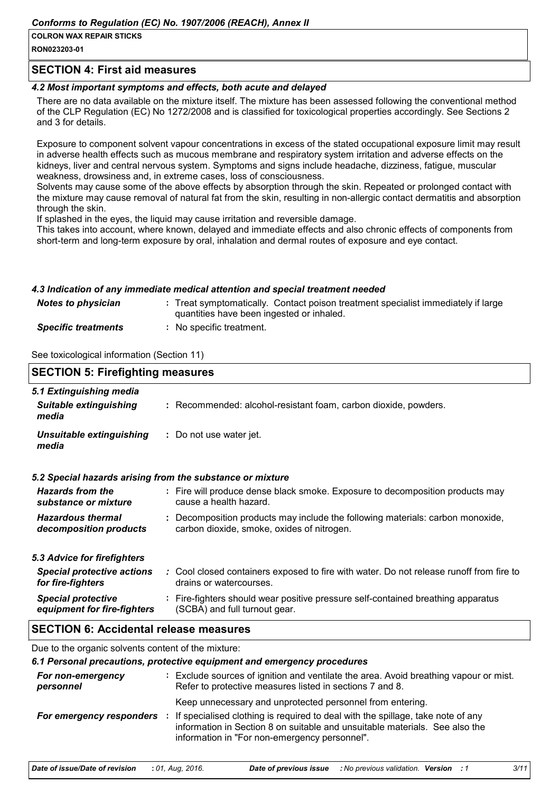### Conforms to Regulation (EC) No. 1907/2006 (REACH), Annex II

### **COLRON WAX REPAIR STICKS**

RON023203-01

### **SECTION 4: First aid measures**

### 4.2 Most important symptoms and effects, both acute and delayed

There are no data available on the mixture itself. The mixture has been assessed following the conventional method of the CLP Regulation (EC) No 1272/2008 and is classified for toxicological properties accordingly. See Sections 2 and 3 for details.

Exposure to component solvent vapour concentrations in excess of the stated occupational exposure limit may result in adverse health effects such as mucous membrane and respiratory system irritation and adverse effects on the kidneys, liver and central nervous system. Symptoms and signs include headache, dizziness, fatigue, muscular weakness, drowsiness and, in extreme cases, loss of consciousness.

Solvents may cause some of the above effects by absorption through the skin. Repeated or prolonged contact with the mixture may cause removal of natural fat from the skin, resulting in non-allergic contact dermatitis and absorption through the skin.

If splashed in the eyes, the liquid may cause irritation and reversible damage.

This takes into account, where known, delayed and immediate effects and also chronic effects of components from short-term and long-term exposure by oral, inhalation and dermal routes of exposure and eye contact.

### 4.3 Indication of any immediate medical attention and special treatment needed

| <b>Notes to physician</b>  | : Treat symptomatically. Contact poison treatment specialist immediately if large<br>quantities have been ingested or inhaled. |
|----------------------------|--------------------------------------------------------------------------------------------------------------------------------|
| <b>Specific treatments</b> | : No specific treatment.                                                                                                       |

See toxicological information (Section 11)

| <b>SECTION 5: Firefighting measures</b>                           |                                                                                                                              |  |  |  |
|-------------------------------------------------------------------|------------------------------------------------------------------------------------------------------------------------------|--|--|--|
| 5.1 Extinguishing media<br><b>Suitable extinguishing</b><br>media | : Recommended: alcohol-resistant foam, carbon dioxide, powders.                                                              |  |  |  |
| Unsuitable extinguishing<br>media                                 | : Do not use water jet.                                                                                                      |  |  |  |
|                                                                   | 5.2 Special hazards arising from the substance or mixture                                                                    |  |  |  |
| <b>Hazards from the</b><br>substance or mixture                   | : Fire will produce dense black smoke. Exposure to decomposition products may<br>cause a health hazard.                      |  |  |  |
| <b>Hazardous thermal</b><br>decomposition products                | : Decomposition products may include the following materials: carbon monoxide,<br>carbon dioxide, smoke, oxides of nitrogen. |  |  |  |
| 5.3 Advice for firefighters                                       |                                                                                                                              |  |  |  |
| <b>Special protective actions</b><br>for fire-fighters            | : Cool closed containers exposed to fire with water. Do not release runoff from fire to<br>drains or watercourses.           |  |  |  |
| <b>Special protective</b><br>equipment for fire-fighters          | : Fire-fighters should wear positive pressure self-contained breathing apparatus<br>(SCBA) and full turnout gear.            |  |  |  |
| <b>SECTION 6: Accidental release measures</b>                     |                                                                                                                              |  |  |  |

Due to the organic solvents content of the mixture:

### 6.1 Personal precautions, protective equipment and emergency procedures

| For non-emergency<br>personnel | : Exclude sources of ignition and ventilate the area. Avoid breathing vapour or mist.<br>Refer to protective measures listed in sections 7 and 8.                                                                                                                              |
|--------------------------------|--------------------------------------------------------------------------------------------------------------------------------------------------------------------------------------------------------------------------------------------------------------------------------|
| For emergency responders       | Keep unnecessary and unprotected personnel from entering.<br>: If specialised clothing is required to deal with the spillage, take note of any<br>information in Section 8 on suitable and unsuitable materials. See also the<br>information in "For non-emergency personnel". |

| Date of issue/Date of revision : 01, Aug, 2016. |  | <b>Date of previous issue</b> : No previous validation. Version : 1 |  |  |  |  |
|-------------------------------------------------|--|---------------------------------------------------------------------|--|--|--|--|
|-------------------------------------------------|--|---------------------------------------------------------------------|--|--|--|--|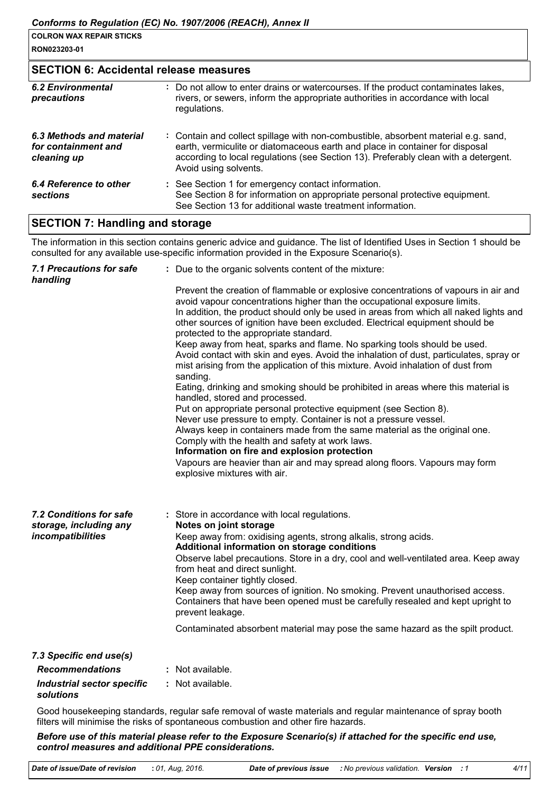### **SECTION 6: Accidental release measures**

| 6.2 Environmental<br>precautions                               | : Do not allow to enter drains or watercourses. If the product contaminates lakes,<br>rivers, or sewers, inform the appropriate authorities in accordance with local<br>regulations.                                                                                               |
|----------------------------------------------------------------|------------------------------------------------------------------------------------------------------------------------------------------------------------------------------------------------------------------------------------------------------------------------------------|
| 6.3 Methods and material<br>for containment and<br>cleaning up | : Contain and collect spillage with non-combustible, absorbent material e.g. sand,<br>earth, vermiculite or diatomaceous earth and place in container for disposal<br>according to local regulations (see Section 13). Preferably clean with a detergent.<br>Avoid using solvents. |
| 6.4 Reference to other<br><b>sections</b>                      | : See Section 1 for emergency contact information.<br>See Section 8 for information on appropriate personal protective equipment.<br>See Section 13 for additional waste treatment information.                                                                                    |

# **SECTION 7: Handling and storage**

The information in this section contains generic advice and guidance. The list of Identified Uses in Section 1 should be consulted for any available use-specific information provided in the Exposure Scenario(s).

| <b>7.1 Precautions for safe</b><br>handling                            | : Due to the organic solvents content of the mixture:                                                                                                                                                                                                                                                                                                                                                                                                                                                                                                                                                                                                                                                                                                                                                                                                                                                                                                                                                                                                                                                                                                                                                                    |
|------------------------------------------------------------------------|--------------------------------------------------------------------------------------------------------------------------------------------------------------------------------------------------------------------------------------------------------------------------------------------------------------------------------------------------------------------------------------------------------------------------------------------------------------------------------------------------------------------------------------------------------------------------------------------------------------------------------------------------------------------------------------------------------------------------------------------------------------------------------------------------------------------------------------------------------------------------------------------------------------------------------------------------------------------------------------------------------------------------------------------------------------------------------------------------------------------------------------------------------------------------------------------------------------------------|
|                                                                        | Prevent the creation of flammable or explosive concentrations of vapours in air and<br>avoid vapour concentrations higher than the occupational exposure limits.<br>In addition, the product should only be used in areas from which all naked lights and<br>other sources of ignition have been excluded. Electrical equipment should be<br>protected to the appropriate standard.<br>Keep away from heat, sparks and flame. No sparking tools should be used.<br>Avoid contact with skin and eyes. Avoid the inhalation of dust, particulates, spray or<br>mist arising from the application of this mixture. Avoid inhalation of dust from<br>sanding.<br>Eating, drinking and smoking should be prohibited in areas where this material is<br>handled, stored and processed.<br>Put on appropriate personal protective equipment (see Section 8).<br>Never use pressure to empty. Container is not a pressure vessel.<br>Always keep in containers made from the same material as the original one.<br>Comply with the health and safety at work laws.<br>Information on fire and explosion protection<br>Vapours are heavier than air and may spread along floors. Vapours may form<br>explosive mixtures with air. |
| 7.2 Conditions for safe<br>storage, including any<br>incompatibilities | : Store in accordance with local regulations.<br>Notes on joint storage<br>Keep away from: oxidising agents, strong alkalis, strong acids.<br>Additional information on storage conditions<br>Observe label precautions. Store in a dry, cool and well-ventilated area. Keep away<br>from heat and direct sunlight.<br>Keep container tightly closed.<br>Keep away from sources of ignition. No smoking. Prevent unauthorised access.<br>Containers that have been opened must be carefully resealed and kept upright to<br>prevent leakage.<br>Contaminated absorbent material may pose the same hazard as the spilt product.                                                                                                                                                                                                                                                                                                                                                                                                                                                                                                                                                                                           |
| 7.3 Specific end use(s)<br><b>Recommendations</b>                      | : Not available.                                                                                                                                                                                                                                                                                                                                                                                                                                                                                                                                                                                                                                                                                                                                                                                                                                                                                                                                                                                                                                                                                                                                                                                                         |
| <b>Industrial sector specific</b>                                      | : Not available.                                                                                                                                                                                                                                                                                                                                                                                                                                                                                                                                                                                                                                                                                                                                                                                                                                                                                                                                                                                                                                                                                                                                                                                                         |
| solutions                                                              |                                                                                                                                                                                                                                                                                                                                                                                                                                                                                                                                                                                                                                                                                                                                                                                                                                                                                                                                                                                                                                                                                                                                                                                                                          |

Good housekeeping standards, regular safe removal of waste materials and regular maintenance of spray booth filters will minimise the risks of spontaneous combustion and other fire hazards.

Before use of this material please refer to the Exposure Scenario(s) if attached for the specific end use, control measures and additional PPE considerations.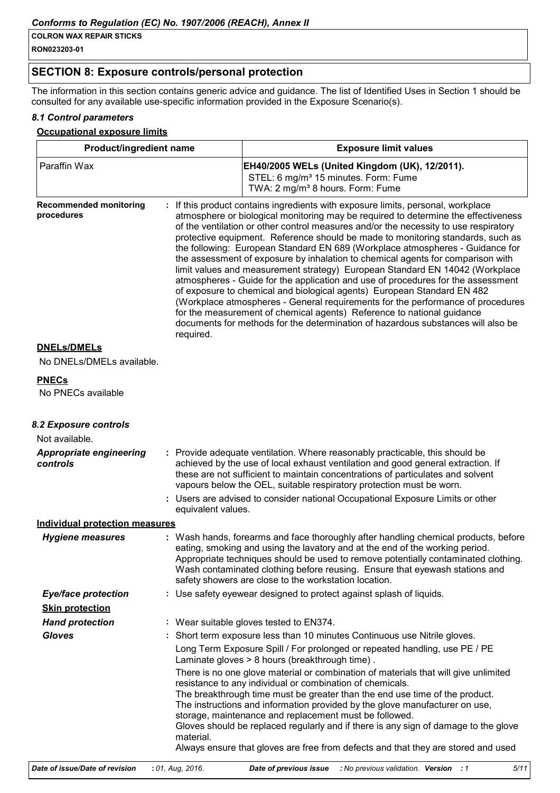RON023203-01

Г

### **SECTION 8: Exposure controls/personal protection**

The information in this section contains generic advice and guidance. The list of Identified Uses in Section 1 should be consulted for any available use-specific information provided in the Exposure Scenario(s).

### 8.1 Control parameters

### **Occupational exposure limits**

| Product/ingredient name                     |  |                                                                                                                                                                                                                                                                                                                                                                                                                                                                                                                                                                                                                                                                                                                                                                                                                                                                                                                                                                                                                                    | <b>Exposure limit values</b>                                                                                                                                                                                                                                                                                                                                                                      |
|---------------------------------------------|--|------------------------------------------------------------------------------------------------------------------------------------------------------------------------------------------------------------------------------------------------------------------------------------------------------------------------------------------------------------------------------------------------------------------------------------------------------------------------------------------------------------------------------------------------------------------------------------------------------------------------------------------------------------------------------------------------------------------------------------------------------------------------------------------------------------------------------------------------------------------------------------------------------------------------------------------------------------------------------------------------------------------------------------|---------------------------------------------------------------------------------------------------------------------------------------------------------------------------------------------------------------------------------------------------------------------------------------------------------------------------------------------------------------------------------------------------|
| Paraffin Wax                                |  |                                                                                                                                                                                                                                                                                                                                                                                                                                                                                                                                                                                                                                                                                                                                                                                                                                                                                                                                                                                                                                    | EH40/2005 WELs (United Kingdom (UK), 12/2011).<br>STEL: 6 mg/m <sup>3</sup> 15 minutes. Form: Fume<br>TWA: 2 mg/m <sup>3</sup> 8 hours. Form: Fume                                                                                                                                                                                                                                                |
| <b>Recommended monitoring</b><br>procedures |  | : If this product contains ingredients with exposure limits, personal, workplace<br>atmosphere or biological monitoring may be required to determine the effectiveness<br>of the ventilation or other control measures and/or the necessity to use respiratory<br>protective equipment. Reference should be made to monitoring standards, such as<br>the following: European Standard EN 689 (Workplace atmospheres - Guidance for<br>the assessment of exposure by inhalation to chemical agents for comparison with<br>limit values and measurement strategy) European Standard EN 14042 (Workplace<br>atmospheres - Guide for the application and use of procedures for the assessment<br>of exposure to chemical and biological agents) European Standard EN 482<br>(Workplace atmospheres - General requirements for the performance of procedures<br>for the measurement of chemical agents) Reference to national guidance<br>documents for methods for the determination of hazardous substances will also be<br>required. |                                                                                                                                                                                                                                                                                                                                                                                                   |
| <b>DNELs/DMELs</b>                          |  |                                                                                                                                                                                                                                                                                                                                                                                                                                                                                                                                                                                                                                                                                                                                                                                                                                                                                                                                                                                                                                    |                                                                                                                                                                                                                                                                                                                                                                                                   |
| No DNELs/DMELs available.                   |  |                                                                                                                                                                                                                                                                                                                                                                                                                                                                                                                                                                                                                                                                                                                                                                                                                                                                                                                                                                                                                                    |                                                                                                                                                                                                                                                                                                                                                                                                   |
| <b>PNECs</b>                                |  |                                                                                                                                                                                                                                                                                                                                                                                                                                                                                                                                                                                                                                                                                                                                                                                                                                                                                                                                                                                                                                    |                                                                                                                                                                                                                                                                                                                                                                                                   |
| No PNECs available                          |  |                                                                                                                                                                                                                                                                                                                                                                                                                                                                                                                                                                                                                                                                                                                                                                                                                                                                                                                                                                                                                                    |                                                                                                                                                                                                                                                                                                                                                                                                   |
| 8.2 Exposure controls                       |  |                                                                                                                                                                                                                                                                                                                                                                                                                                                                                                                                                                                                                                                                                                                                                                                                                                                                                                                                                                                                                                    |                                                                                                                                                                                                                                                                                                                                                                                                   |
| Not available.                              |  |                                                                                                                                                                                                                                                                                                                                                                                                                                                                                                                                                                                                                                                                                                                                                                                                                                                                                                                                                                                                                                    |                                                                                                                                                                                                                                                                                                                                                                                                   |
| <b>Appropriate engineering</b><br>controls  |  |                                                                                                                                                                                                                                                                                                                                                                                                                                                                                                                                                                                                                                                                                                                                                                                                                                                                                                                                                                                                                                    | : Provide adequate ventilation. Where reasonably practicable, this should be<br>achieved by the use of local exhaust ventilation and good general extraction. If<br>these are not sufficient to maintain concentrations of particulates and solvent<br>vapours below the OEL, suitable respiratory protection must be worn.                                                                       |
|                                             |  | equivalent values.                                                                                                                                                                                                                                                                                                                                                                                                                                                                                                                                                                                                                                                                                                                                                                                                                                                                                                                                                                                                                 | Users are advised to consider national Occupational Exposure Limits or other                                                                                                                                                                                                                                                                                                                      |
| <b>Individual protection measures</b>       |  |                                                                                                                                                                                                                                                                                                                                                                                                                                                                                                                                                                                                                                                                                                                                                                                                                                                                                                                                                                                                                                    |                                                                                                                                                                                                                                                                                                                                                                                                   |
| <b>Hygiene measures</b>                     |  |                                                                                                                                                                                                                                                                                                                                                                                                                                                                                                                                                                                                                                                                                                                                                                                                                                                                                                                                                                                                                                    | : Wash hands, forearms and face thoroughly after handling chemical products, before<br>eating, smoking and using the lavatory and at the end of the working period.<br>Appropriate techniques should be used to remove potentially contaminated clothing.<br>Wash contaminated clothing before reusing. Ensure that eyewash stations and<br>safety showers are close to the workstation location. |
| <b>Eye/face protection</b>                  |  |                                                                                                                                                                                                                                                                                                                                                                                                                                                                                                                                                                                                                                                                                                                                                                                                                                                                                                                                                                                                                                    | : Use safety eyewear designed to protect against splash of liquids.                                                                                                                                                                                                                                                                                                                               |
| <b>Skin protection</b>                      |  |                                                                                                                                                                                                                                                                                                                                                                                                                                                                                                                                                                                                                                                                                                                                                                                                                                                                                                                                                                                                                                    |                                                                                                                                                                                                                                                                                                                                                                                                   |
| <b>Hand protection</b>                      |  |                                                                                                                                                                                                                                                                                                                                                                                                                                                                                                                                                                                                                                                                                                                                                                                                                                                                                                                                                                                                                                    | : Wear suitable gloves tested to EN374.                                                                                                                                                                                                                                                                                                                                                           |
| <b>Gloves</b>                               |  |                                                                                                                                                                                                                                                                                                                                                                                                                                                                                                                                                                                                                                                                                                                                                                                                                                                                                                                                                                                                                                    | : Short term exposure less than 10 minutes Continuous use Nitrile gloves.                                                                                                                                                                                                                                                                                                                         |
|                                             |  |                                                                                                                                                                                                                                                                                                                                                                                                                                                                                                                                                                                                                                                                                                                                                                                                                                                                                                                                                                                                                                    | Long Term Exposure Spill / For prolonged or repeated handling, use PE / PE<br>Laminate gloves > 8 hours (breakthrough time).                                                                                                                                                                                                                                                                      |
|                                             |  |                                                                                                                                                                                                                                                                                                                                                                                                                                                                                                                                                                                                                                                                                                                                                                                                                                                                                                                                                                                                                                    | There is no one glove material or combination of materials that will give unlimited<br>resistance to any individual or combination of chemicals.<br>The breakthrough time must be greater than the end use time of the product.                                                                                                                                                                   |
|                                             |  |                                                                                                                                                                                                                                                                                                                                                                                                                                                                                                                                                                                                                                                                                                                                                                                                                                                                                                                                                                                                                                    | The instructions and information provided by the glove manufacturer on use,<br>storage, maintenance and replacement must be followed.<br>Gloves should be replaced regularly and if there is any sign of damage to the glove                                                                                                                                                                      |
|                                             |  | material.                                                                                                                                                                                                                                                                                                                                                                                                                                                                                                                                                                                                                                                                                                                                                                                                                                                                                                                                                                                                                          | Always ensure that gloves are free from defects and that they are stored and used                                                                                                                                                                                                                                                                                                                 |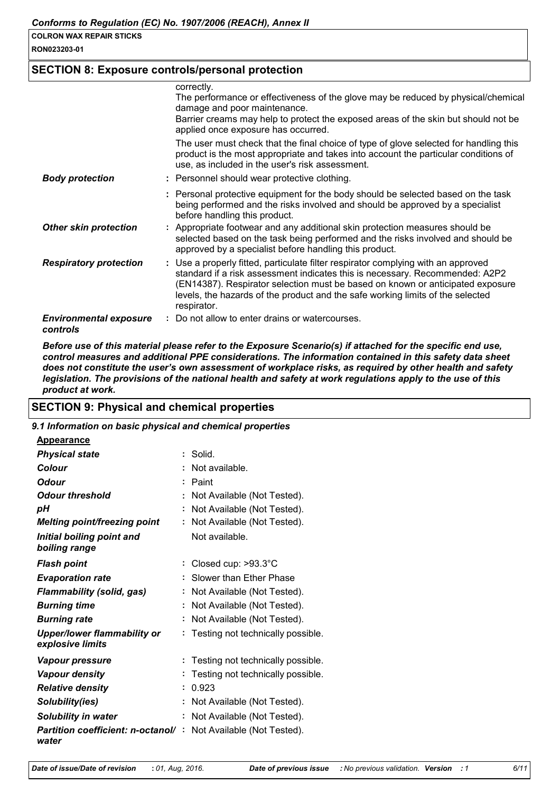RON023203-01

### **SECTION 8: Exposure controls/personal protection**

|                                           | correctly.                                                                                                                                                                                                                                                                                                                                           |
|-------------------------------------------|------------------------------------------------------------------------------------------------------------------------------------------------------------------------------------------------------------------------------------------------------------------------------------------------------------------------------------------------------|
|                                           | The performance or effectiveness of the glove may be reduced by physical/chemical<br>damage and poor maintenance.                                                                                                                                                                                                                                    |
|                                           | Barrier creams may help to protect the exposed areas of the skin but should not be<br>applied once exposure has occurred.                                                                                                                                                                                                                            |
|                                           | The user must check that the final choice of type of glove selected for handling this<br>product is the most appropriate and takes into account the particular conditions of<br>use, as included in the user's risk assessment.                                                                                                                      |
| <b>Body protection</b>                    | : Personnel should wear protective clothing.                                                                                                                                                                                                                                                                                                         |
|                                           | : Personal protective equipment for the body should be selected based on the task<br>being performed and the risks involved and should be approved by a specialist<br>before handling this product.                                                                                                                                                  |
| <b>Other skin protection</b>              | : Appropriate footwear and any additional skin protection measures should be<br>selected based on the task being performed and the risks involved and should be<br>approved by a specialist before handling this product.                                                                                                                            |
| <b>Respiratory protection</b>             | : Use a properly fitted, particulate filter respirator complying with an approved<br>standard if a risk assessment indicates this is necessary. Recommended: A2P2<br>(EN14387). Respirator selection must be based on known or anticipated exposure<br>levels, the hazards of the product and the safe working limits of the selected<br>respirator. |
| <b>Environmental exposure</b><br>controls | Do not allow to enter drains or watercourses.                                                                                                                                                                                                                                                                                                        |

Before use of this material please refer to the Exposure Scenario(s) if attached for the specific end use. control measures and additional PPE considerations. The information contained in this safety data sheet does not constitute the user's own assessment of workplace risks, as required by other health and safety legislation. The provisions of the national health and safety at work regulations apply to the use of this product at work.

### **SECTION 9: Physical and chemical properties**

| 9.1 Information on basic physical and chemical properties |                                     |
|-----------------------------------------------------------|-------------------------------------|
| <b>Appearance</b>                                         |                                     |
| <b>Physical state</b>                                     | $:$ Solid.                          |
| <b>Colour</b>                                             | Not available.                      |
| <b>Odour</b>                                              | : Paint                             |
| <b>Odour threshold</b>                                    | Not Available (Not Tested).         |
| pH                                                        | Not Available (Not Tested).         |
| <b>Melting point/freezing point</b>                       | : Not Available (Not Tested).       |
| Initial boiling point and<br>boiling range                | Not available.                      |
| <b>Flash point</b>                                        | : Closed cup: $>93.3^{\circ}$ C     |
| <b>Evaporation rate</b>                                   | Slower than Ether Phase             |
| <b>Flammability (solid, gas)</b>                          | Not Available (Not Tested).         |
| <b>Burning time</b>                                       | : Not Available (Not Tested).       |
| <b>Burning rate</b>                                       | : Not Available (Not Tested).       |
| <b>Upper/lower flammability or</b><br>explosive limits    | : Testing not technically possible. |
| Vapour pressure                                           | : Testing not technically possible. |
| Vapour density                                            | Testing not technically possible.   |
| <b>Relative density</b>                                   | : 0.923                             |
| Solubility(ies)                                           | : Not Available (Not Tested).       |
| <b>Solubility in water</b>                                | : Not Available (Not Tested).       |
| <b>Partition coefficient: n-octanol/:</b><br>water        | Not Available (Not Tested).         |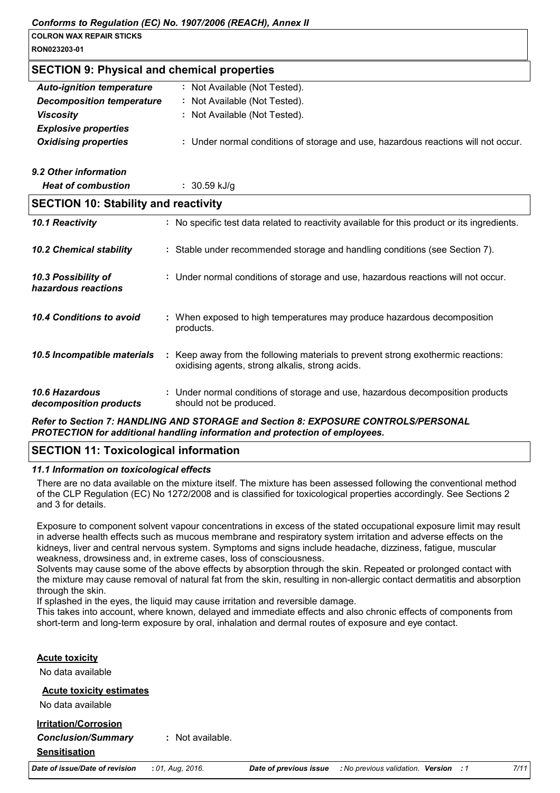| <b>SECTION 9: Physical and chemical properties</b> |                                                                                                                                     |  |  |  |  |
|----------------------------------------------------|-------------------------------------------------------------------------------------------------------------------------------------|--|--|--|--|
| <b>Auto-ignition temperature</b>                   | : Not Available (Not Tested).                                                                                                       |  |  |  |  |
| <b>Decomposition temperature</b>                   | : Not Available (Not Tested).                                                                                                       |  |  |  |  |
| <b>Viscosity</b>                                   | : Not Available (Not Tested).                                                                                                       |  |  |  |  |
| <b>Explosive properties</b>                        |                                                                                                                                     |  |  |  |  |
| <b>Oxidising properties</b>                        | : Under normal conditions of storage and use, hazardous reactions will not occur.                                                   |  |  |  |  |
| 9.2 Other information                              |                                                                                                                                     |  |  |  |  |
| <b>Heat of combustion</b>                          | $: 30.59$ kJ/g                                                                                                                      |  |  |  |  |
| <b>SECTION 10: Stability and reactivity</b>        |                                                                                                                                     |  |  |  |  |
| 10.1 Reactivity                                    | : No specific test data related to reactivity available for this product or its ingredients.                                        |  |  |  |  |
| <b>10.2 Chemical stability</b>                     | : Stable under recommended storage and handling conditions (see Section 7).                                                         |  |  |  |  |
| 10.3 Possibility of<br>hazardous reactions         | : Under normal conditions of storage and use, hazardous reactions will not occur.                                                   |  |  |  |  |
| 10.4 Conditions to avoid                           | : When exposed to high temperatures may produce hazardous decomposition<br>products.                                                |  |  |  |  |
| 10.5 Incompatible materials                        | : Keep away from the following materials to prevent strong exothermic reactions:<br>oxidising agents, strong alkalis, strong acids. |  |  |  |  |
| 10.6 Hazardous<br>decomposition products           | : Under normal conditions of storage and use, hazardous decomposition products<br>should not be produced.                           |  |  |  |  |
|                                                    | Defer to Continue 7, HANDLING, AND CTODAGE and Continue O. EVROCURE CONTROL CIRERCONIAL                                             |  |  |  |  |

Refer to Section 7: HANDLING AND STORAGE and Section 8: EXPOSURE CONTROLS/PERSONAL PROTECTION for additional handling information and protection of employees.

# **SECTION 11: Toxicological information**

11.1 Information on toxicological effects

Date of issue/Date of revision

There are no data available on the mixture itself. The mixture has been assessed following the conventional method of the CLP Regulation (EC) No 1272/2008 and is classified for toxicological properties accordingly. See Sections 2 and 3 for details.

Exposure to component solvent vapour concentrations in excess of the stated occupational exposure limit may result in adverse health effects such as mucous membrane and respiratory system irritation and adverse effects on the kidneys, liver and central nervous system. Symptoms and signs include headache, dizziness, fatigue, muscular weakness, drowsiness and, in extreme cases, loss of consciousness.

Solvents may cause some of the above effects by absorption through the skin. Repeated or prolonged contact with the mixture may cause removal of natural fat from the skin, resulting in non-allergic contact dermatitis and absorption through the skin.

If splashed in the eyes, the liquid may cause irritation and reversible damage.

This takes into account, where known, delayed and immediate effects and also chronic effects of components from short-term and long-term exposure by oral, inhalation and dermal routes of exposure and eye contact.

| <b>Acute toxicity</b>                                                            |                    |
|----------------------------------------------------------------------------------|--------------------|
| No data available                                                                |                    |
| <b>Acute toxicity estimates</b><br>No data available                             |                    |
| <b>Irritation/Corrosion</b><br><b>Conclusion/Summary</b><br><b>Sensitisation</b> | $:$ Not available. |

: 01, Aug, 2016.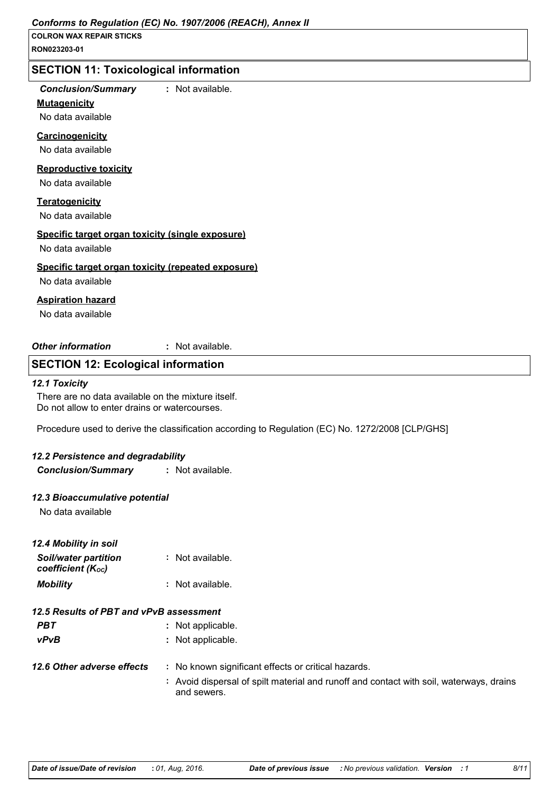# **SECTION 11: Toxicological information**

### **Conclusion/Summary**

### **Mutagenicity**

: Not available.

No data available

### Carcinogenicity

No data available

### **Reproductive toxicity**

No data available

### **Teratogenicity**

No data available

### Specific target organ toxicity (single exposure)

No data available

### Specific target organ toxicity (repeated exposure)

No data available

### **Aspiration hazard**

No data available

**Other information** : Not available.

### **SECTION 12: Ecological information**

### 12.1 Toxicity

There are no data available on the mixture itself. Do not allow to enter drains or watercourses.

Procedure used to derive the classification according to Regulation (EC) No. 1272/2008 [CLP/GHS]

### 12.2 Persistence and degradability

**Conclusion/Summary** : Not available.

### 12.3 Bioaccumulative potential

No data available

| 12.4 Mobility in soil                     |                  |
|-------------------------------------------|------------------|
| Soil/water partition<br>coefficient (Koc) | : Not available. |
| <b>Mobility</b>                           | : Not available. |

# 12.5 Results of PBT and vPvB assessment

- **PBT** : Not applicable.  $vPvB$ : Not applicable.
- 12.6 Other adverse effects : No known significant effects or critical hazards.
	- : Avoid dispersal of spilt material and runoff and contact with soil, waterways, drains and sewers.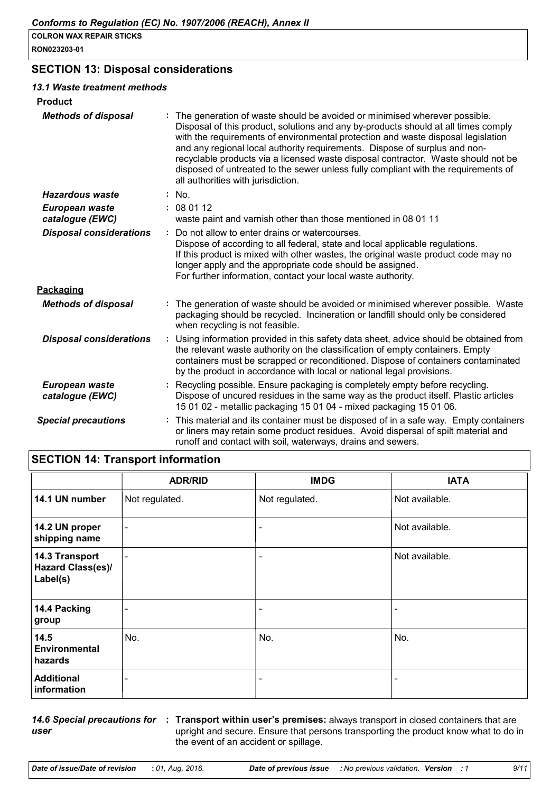# **SECTION 13: Disposal considerations**

| 13.1 Waste treatment methods      |                                                                                                                                                                                                                                                                                                                                                                                                                                                                                                                                                    |
|-----------------------------------|----------------------------------------------------------------------------------------------------------------------------------------------------------------------------------------------------------------------------------------------------------------------------------------------------------------------------------------------------------------------------------------------------------------------------------------------------------------------------------------------------------------------------------------------------|
| <b>Product</b>                    |                                                                                                                                                                                                                                                                                                                                                                                                                                                                                                                                                    |
| <b>Methods of disposal</b>        | The generation of waste should be avoided or minimised wherever possible.<br>Disposal of this product, solutions and any by-products should at all times comply<br>with the requirements of environmental protection and waste disposal legislation<br>and any regional local authority requirements. Dispose of surplus and non-<br>recyclable products via a licensed waste disposal contractor. Waste should not be<br>disposed of untreated to the sewer unless fully compliant with the requirements of<br>all authorities with jurisdiction. |
| <b>Hazardous waste</b>            | : No.                                                                                                                                                                                                                                                                                                                                                                                                                                                                                                                                              |
| European waste<br>catalogue (EWC) | : 080112<br>waste paint and varnish other than those mentioned in 08 01 11                                                                                                                                                                                                                                                                                                                                                                                                                                                                         |
| <b>Disposal considerations</b>    | Do not allow to enter drains or watercourses.<br>÷<br>Dispose of according to all federal, state and local applicable regulations.<br>If this product is mixed with other wastes, the original waste product code may no<br>longer apply and the appropriate code should be assigned.<br>For further information, contact your local waste authority.                                                                                                                                                                                              |
| Packaging                         |                                                                                                                                                                                                                                                                                                                                                                                                                                                                                                                                                    |
| <b>Methods of disposal</b>        | : The generation of waste should be avoided or minimised wherever possible. Waste<br>packaging should be recycled. Incineration or landfill should only be considered<br>when recycling is not feasible.                                                                                                                                                                                                                                                                                                                                           |
| <b>Disposal considerations</b>    | Using information provided in this safety data sheet, advice should be obtained from<br>÷.<br>the relevant waste authority on the classification of empty containers. Empty<br>containers must be scrapped or reconditioned. Dispose of containers contaminated<br>by the product in accordance with local or national legal provisions.                                                                                                                                                                                                           |
| European waste<br>catalogue (EWC) | Recycling possible. Ensure packaging is completely empty before recycling.<br>Dispose of uncured residues in the same way as the product itself. Plastic articles<br>15 01 02 - metallic packaging 15 01 04 - mixed packaging 15 01 06.                                                                                                                                                                                                                                                                                                            |
| <b>Special precautions</b>        | This material and its container must be disposed of in a safe way. Empty containers<br>or liners may retain some product residues. Avoid dispersal of spilt material and<br>runoff and contact with soil, waterways, drains and sewers.                                                                                                                                                                                                                                                                                                            |

# **SECTION 14: Transport information**

|                                                        | <b>ADR/RID</b>           | <b>IMDG</b>              | <b>IATA</b>    |
|--------------------------------------------------------|--------------------------|--------------------------|----------------|
| 14.1 UN number                                         | Not regulated.           | Not regulated.           | Not available. |
| 14.2 UN proper<br>shipping name                        | $\overline{\phantom{a}}$ | $\overline{\phantom{0}}$ | Not available. |
| 14.3 Transport<br><b>Hazard Class(es)/</b><br>Label(s) | $\overline{\phantom{a}}$ | $\overline{\phantom{a}}$ | Not available. |
| 14.4 Packing<br>group                                  | $\overline{\phantom{0}}$ | $\overline{\phantom{0}}$ |                |
| 14.5<br><b>Environmental</b><br>hazards                | No.                      | No.                      | No.            |
| <b>Additional</b><br>information                       | $\overline{\phantom{a}}$ | $\overline{\phantom{a}}$ |                |

user

14.6 Special precautions for : Transport within user's premises: always transport in closed containers that are upright and secure. Ensure that persons transporting the product know what to do in the event of an accident or spillage.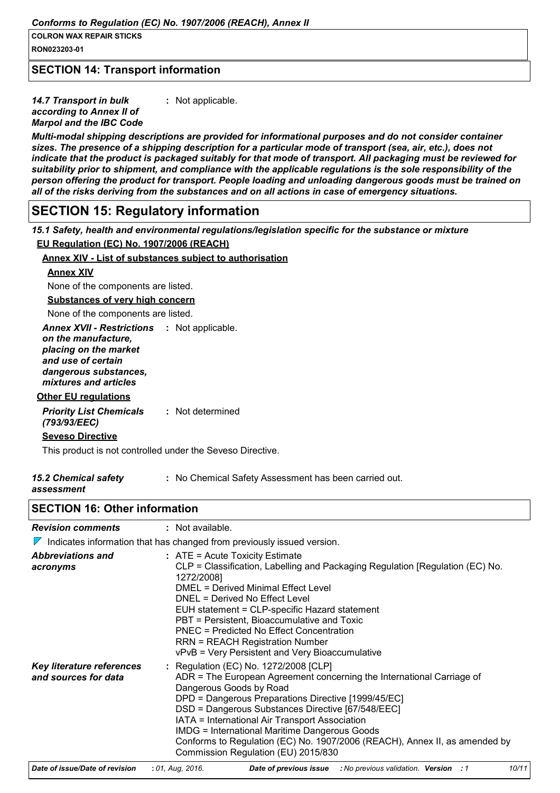RON023203-01

### **SECTION 14: Transport information**

14.7 Transport in bulk : Not applicable. according to Annex II of **Marpol and the IBC Code** 

Multi-modal shipping descriptions are provided for informational purposes and do not consider container sizes. The presence of a shipping description for a particular mode of transport (sea, air, etc.), does not indicate that the product is packaged suitably for that mode of transport. All packaging must be reviewed for suitability prior to shipment, and compliance with the applicable regulations is the sole responsibility of the person offering the product for transport. People loading and unloading dangerous goods must be trained on all of the risks deriving from the substances and on all actions in case of emergency situations.

# **SECTION 15: Regulatory information**

15.1 Safety, health and environmental regulations/legislation specific for the substance or mixture

EU Regulation (EC) No. 1907/2006 (REACH)

### Annex XIV - List of substances subject to authorisation

### **Annex XIV**

None of the components are listed.

**Substances of very high concern** 

None of the components are listed.

**Annex XVII - Restrictions** : Not applicable.

on the manufacture. placing on the market

and use of certain

dangerous substances,

mixtures and articles **Other EU regulations** 

**Priority List Chemicals** : Not determined (793/93/EEC)

**Seveso Directive** 

This product is not controlled under the Seveso Directive.

assessment

# **SECTION 16: Other information**

| <b>Revision comments</b> | : Not available. |
|--------------------------|------------------|
|                          |                  |

|  | $\nabla$ Indicates information that has changed from previously issued version. |  |  |  |  |
|--|---------------------------------------------------------------------------------|--|--|--|--|
|--|---------------------------------------------------------------------------------|--|--|--|--|

| <b>Abbreviations and</b><br>acronyms              | $:$ ATE = Acute Toxicity Estimate<br>CLP = Classification, Labelling and Packaging Regulation [Regulation (EC) No.<br>1272/2008]<br>DMEL = Derived Minimal Effect Level<br>DNEL = Derived No Effect Level<br>EUH statement = CLP-specific Hazard statement<br>PBT = Persistent, Bioaccumulative and Toxic<br><b>PNEC = Predicted No Effect Concentration</b><br><b>RRN = REACH Registration Number</b><br>vPvB = Very Persistent and Very Bioaccumulative                            |
|---------------------------------------------------|--------------------------------------------------------------------------------------------------------------------------------------------------------------------------------------------------------------------------------------------------------------------------------------------------------------------------------------------------------------------------------------------------------------------------------------------------------------------------------------|
| Key literature references<br>and sources for data | : Regulation (EC) No. 1272/2008 [CLP]<br>ADR = The European Agreement concerning the International Carriage of<br>Dangerous Goods by Road<br>DPD = Dangerous Preparations Directive [1999/45/EC]<br>DSD = Dangerous Substances Directive [67/548/EEC]<br>IATA = International Air Transport Association<br><b>IMDG = International Maritime Dangerous Goods</b><br>Conforms to Regulation (EC) No. 1907/2006 (REACH), Annex II, as amended by<br>Commission Regulation (EU) 2015/830 |